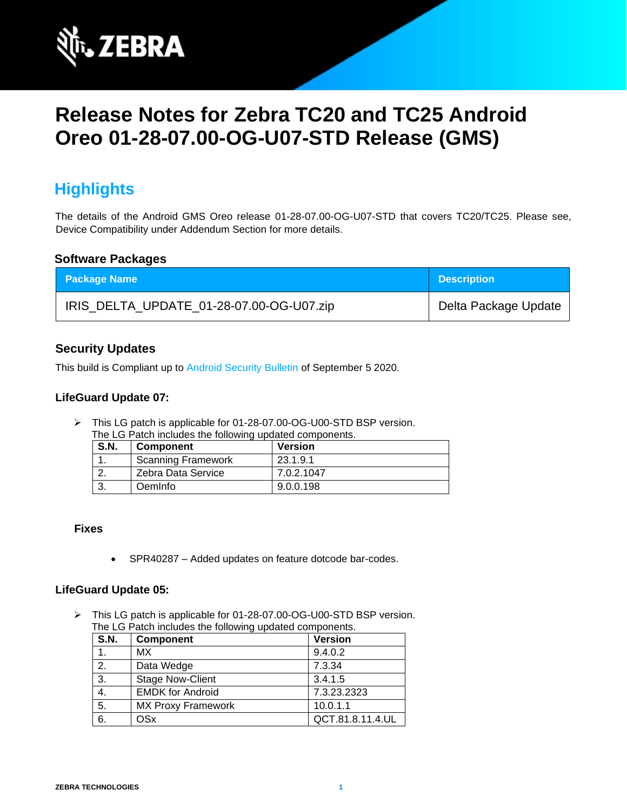

# **Release Notes for Zebra TC20 and TC25 Android Oreo 01-28-07.00-OG-U07-STD Release (GMS)**

# **Highlights**

The details of the Android GMS Oreo release 01-28-07.00-OG-U07-STD that covers TC20/TC25. Please see, Device Compatibility under Addendum Section for more details.

### **Software Packages**

| <b>Package Name</b>                      | <b>Description</b>   |
|------------------------------------------|----------------------|
| IRIS_DELTA_UPDATE_01-28-07.00-OG-U07.zip | Delta Package Update |

### **Security Updates**

This build is Compliant up to [Android Security Bulletin](https://source.android.com/security/bulletin/) of September 5 2020.

### **LifeGuard Update 07:**

➢ This LG patch is applicable for 01-28-07.00-OG-U00-STD BSP version. The LG Patch includes the following updated components.

| <b>S.N.</b> | <b>Component</b>          | <b>Version</b> |
|-------------|---------------------------|----------------|
|             | <b>Scanning Framework</b> | 23.1.9.1       |
|             | Zebra Data Service        | 7.0.2.1047     |
|             | <b>Oemlnfo</b>            | 9.0.0.198      |

#### **Fixes**

• SPR40287 – Added updates on feature dotcode bar-codes.

#### **LifeGuard Update 05:**

➢ This LG patch is applicable for 01-28-07.00-OG-U00-STD BSP version. The LG Patch includes the following updated components.

| <b>S.N.</b> | <b>Component</b>          | <b>Version</b>   |
|-------------|---------------------------|------------------|
|             | <b>MX</b>                 | 9.4.0.2          |
| 2.          | Data Wedge                | 7.3.34           |
| 3.          | <b>Stage Now-Client</b>   | 3.4.1.5          |
| 4.          | <b>EMDK for Android</b>   | 7.3.23.2323      |
| 5.          | <b>MX Proxy Framework</b> | 10.0.1.1         |
| 6.          | OSx                       | QCT.81.8.11.4.UL |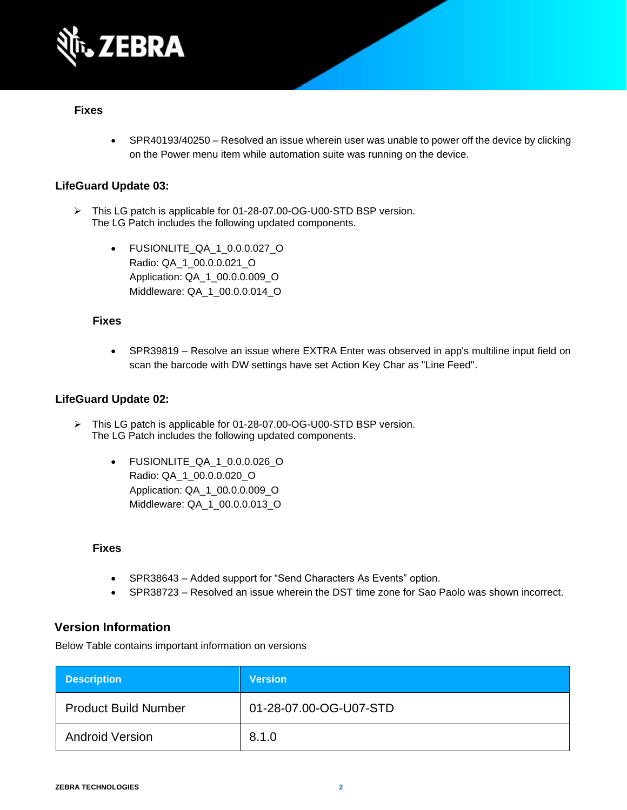

### **Fixes**

• SPR40193/40250 – Resolved an issue wherein user was unable to power off the device by clicking on the Power menu item while automation suite was running on the device.

### **LifeGuard Update 03:**

- ➢ This LG patch is applicable for 01-28-07.00-OG-U00-STD BSP version. The LG Patch includes the following updated components.
	- FUSIONLITE\_QA\_1\_0.0.0.027\_O Radio: QA\_1\_00.0.0.021\_O Application: QA\_1\_00.0.0.009\_O Middleware: QA\_1\_00.0.0.014\_O

#### **Fixes**

• SPR39819 – Resolve an issue where EXTRA Enter was observed in app's multiline input field on scan the barcode with DW settings have set Action Key Char as "Line Feed".

#### **LifeGuard Update 02:**

- ➢ This LG patch is applicable for 01-28-07.00-OG-U00-STD BSP version. The LG Patch includes the following updated components.
	- FUSIONLITE\_QA\_1\_0.0.0.026\_O Radio: QA\_1\_00.0.0.020\_O Application: QA\_1\_00.0.0.009\_O Middleware: QA\_1\_00.0.0.013\_O

#### **Fixes**

- SPR38643 Added support for "Send Characters As Events" option.
- SPR38723 Resolved an issue wherein the DST time zone for Sao Paolo was shown incorrect.

### **Version Information**

Below Table contains important information on versions

| <b>Description</b>          | <b>Version</b>         |
|-----------------------------|------------------------|
| <b>Product Build Number</b> | 01-28-07.00-OG-U07-STD |
| <b>Android Version</b>      | 8.1.0                  |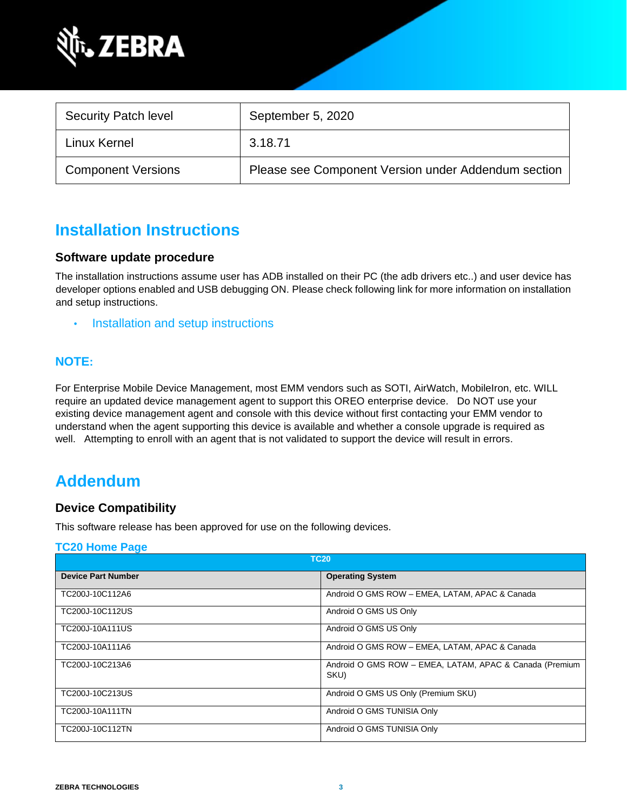

| <b>Security Patch level</b> | September 5, 2020                                   |
|-----------------------------|-----------------------------------------------------|
| Linux Kernel                | 3.18.71                                             |
| <b>Component Versions</b>   | Please see Component Version under Addendum section |

# **Installation Instructions**

### **Software update procedure**

The installation instructions assume user has ADB installed on their PC (the adb drivers etc..) and user device has developer options enabled and USB debugging ON. Please check following link for more information on installation and setup instructions.

• [Installation and setup instructions](https://www.zebra.com/content/dam/zebra_new_ia/en-us/software/operating-system/tc20-operating-system/Android-O-OS-Update-TC20-and-TC25-GMS.pdf)

### **NOTE:**

For Enterprise Mobile Device Management, most EMM vendors such as SOTI, AirWatch, MobileIron, etc. WILL require an updated device management agent to support this OREO enterprise device. Do NOT use your existing device management agent and console with this device without first contacting your EMM vendor to understand when the agent supporting this device is available and whether a console upgrade is required as well. Attempting to enroll with an agent that is not validated to support the device will result in errors.

# **Addendum**

### **Device Compatibility**

This software release has been approved for use on the following devices.

#### **[TC20 Home Page](https://www.zebra.com/us/en/support-downloads/software/operating-system/tc20-operating-system.html)**

| <b>TC20</b>               |                                                                 |
|---------------------------|-----------------------------------------------------------------|
| <b>Device Part Number</b> | <b>Operating System</b>                                         |
| TC200J-10C112A6           | Android O GMS ROW - EMEA, LATAM, APAC & Canada                  |
| TC200J-10C112US           | Android O GMS US Only                                           |
| TC200J-10A111US           | Android O GMS US Only                                           |
| TC200J-10A111A6           | Android O GMS ROW - EMEA, LATAM, APAC & Canada                  |
| TC200J-10C213A6           | Android O GMS ROW - EMEA, LATAM, APAC & Canada (Premium<br>SKU) |
| TC200J-10C213US           | Android O GMS US Only (Premium SKU)                             |
| TC200J-10A111TN           | Android O GMS TUNISIA Only                                      |
| TC200J-10C112TN           | Android O GMS TUNISIA Only                                      |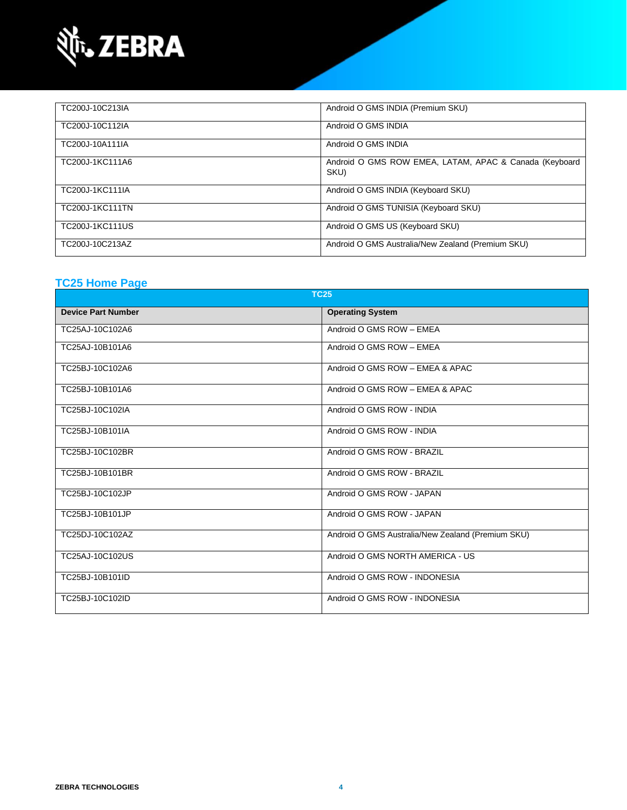

| TC200J-10C213IA | Android O GMS INDIA (Premium SKU)                              |
|-----------------|----------------------------------------------------------------|
| TC200J-10C112IA | Android O GMS INDIA                                            |
| TC200J-10A111IA | Android O GMS INDIA                                            |
| TC200J-1KC111A6 | Android O GMS ROW EMEA, LATAM, APAC & Canada (Keyboard<br>SKU) |
| TC200J-1KC111IA | Android O GMS INDIA (Keyboard SKU)                             |
| TC200J-1KC111TN | Android O GMS TUNISIA (Keyboard SKU)                           |
| TC200J-1KC111US | Android O GMS US (Keyboard SKU)                                |
| TC200J-10C213AZ | Android O GMS Australia/New Zealand (Premium SKU)              |

### **[TC25 Home Page](https://www.zebra.com/us/en/support-downloads/software/operating-system/tc25-operating-system.html)**

| <b>TC25</b>               |                                                   |  |
|---------------------------|---------------------------------------------------|--|
| <b>Device Part Number</b> | <b>Operating System</b>                           |  |
| TC25AJ-10C102A6           | Android O GMS ROW - EMEA                          |  |
| TC25AJ-10B101A6           | Android O GMS ROW - EMEA                          |  |
| TC25BJ-10C102A6           | Android O GMS ROW - EMEA & APAC                   |  |
| TC25BJ-10B101A6           | Android O GMS ROW - EMEA & APAC                   |  |
| TC25BJ-10C102IA           | Android O GMS ROW - INDIA                         |  |
| TC25BJ-10B101IA           | Android O GMS ROW - INDIA                         |  |
| TC25BJ-10C102BR           | Android O GMS ROW - BRAZIL                        |  |
| TC25BJ-10B101BR           | Android O GMS ROW - BRAZIL                        |  |
| TC25BJ-10C102JP           | Android O GMS ROW - JAPAN                         |  |
| TC25BJ-10B101JP           | Android O GMS ROW - JAPAN                         |  |
| TC25DJ-10C102AZ           | Android O GMS Australia/New Zealand (Premium SKU) |  |
| TC25AJ-10C102US           | Android O GMS NORTH AMERICA - US                  |  |
| TC25BJ-10B101ID           | Android O GMS ROW - INDONESIA                     |  |
| TC25BJ-10C102ID           | Android O GMS ROW - INDONESIA                     |  |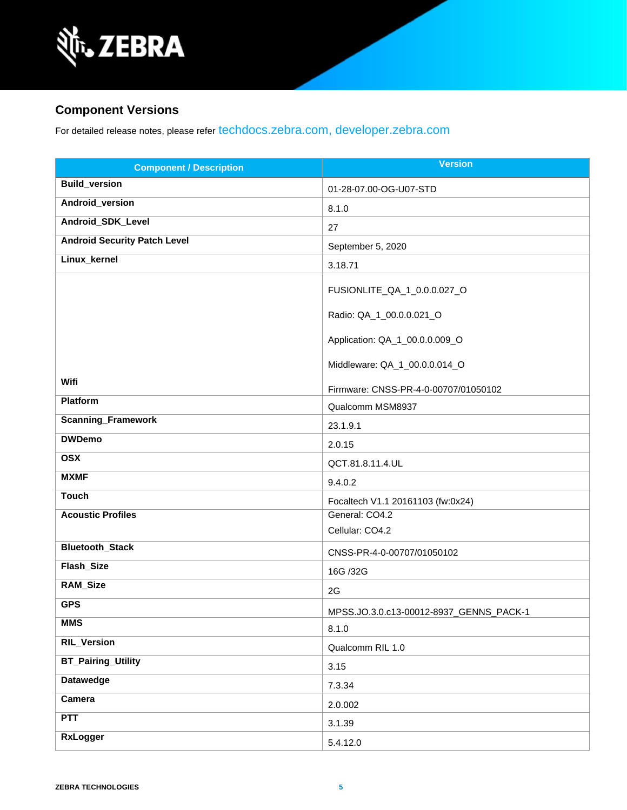

## **Component Versions**

For detailed release notes, please refer [techdocs.zebra.com,](https://techdocs.zebra.com/) [developer.zebra.com](https://developer.zebra.com/)

| <b>Component / Description</b>      | <b>Version</b>                          |
|-------------------------------------|-----------------------------------------|
| <b>Build_version</b>                | 01-28-07.00-OG-U07-STD                  |
| Android_version                     | 8.1.0                                   |
| Android_SDK_Level                   | 27                                      |
| <b>Android Security Patch Level</b> | September 5, 2020                       |
| Linux_kernel                        | 3.18.71                                 |
|                                     | FUSIONLITE_QA_1_0.0.0.027_O             |
|                                     | Radio: QA_1_00.0.0.021_O                |
|                                     | Application: QA_1_00.0.0.009_O          |
|                                     | Middleware: QA_1_00.0.0.014_O           |
| Wifi                                | Firmware: CNSS-PR-4-0-00707/01050102    |
| Platform                            | Qualcomm MSM8937                        |
| <b>Scanning_Framework</b>           | 23.1.9.1                                |
| <b>DWDemo</b>                       | 2.0.15                                  |
| <b>OSX</b>                          | QCT.81.8.11.4.UL                        |
| <b>MXMF</b>                         | 9.4.0.2                                 |
| <b>Touch</b>                        | Focaltech V1.1 20161103 (fw:0x24)       |
| <b>Acoustic Profiles</b>            | General: CO4.2                          |
|                                     | Cellular: CO4.2                         |
| <b>Bluetooth_Stack</b>              | CNSS-PR-4-0-00707/01050102              |
| Flash_Size                          | 16G /32G                                |
| RAM_Size                            | 2G                                      |
| <b>GPS</b>                          | MPSS.JO.3.0.c13-00012-8937_GENNS_PACK-1 |
| <b>MMS</b>                          | 8.1.0                                   |
| <b>RIL_Version</b>                  | Qualcomm RIL 1.0                        |
| <b>BT_Pairing_Utility</b>           | 3.15                                    |
| <b>Datawedge</b>                    | 7.3.34                                  |
| Camera                              | 2.0.002                                 |
| <b>PTT</b>                          | 3.1.39                                  |
| <b>RxLogger</b>                     | 5.4.12.0                                |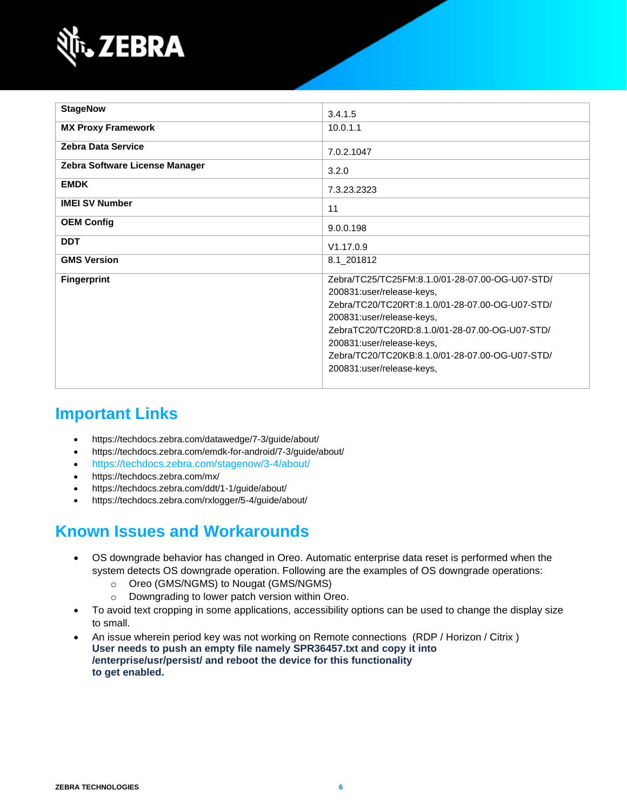

| <b>StageNow</b>                | 3.4.1.5                                         |
|--------------------------------|-------------------------------------------------|
|                                |                                                 |
| <b>MX Proxy Framework</b>      | 10.0.1.1                                        |
| <b>Zebra Data Service</b>      | 7.0.2.1047                                      |
|                                |                                                 |
| Zebra Software License Manager | 3.2.0                                           |
| <b>EMDK</b>                    | 7.3.23.2323                                     |
| <b>IMEI SV Number</b>          | 11                                              |
|                                |                                                 |
| <b>OEM Config</b>              | 9.0.0.198                                       |
| <b>DDT</b>                     | V1.17.0.9                                       |
| <b>GMS Version</b>             | 8.1_201812                                      |
| <b>Fingerprint</b>             | Zebra/TC25/TC25FM:8.1.0/01-28-07.00-OG-U07-STD/ |
|                                | 200831:user/release-keys,                       |
|                                | Zebra/TC20/TC20RT:8.1.0/01-28-07.00-OG-U07-STD/ |
|                                | 200831:user/release-keys,                       |
|                                | ZebraTC20/TC20RD:8.1.0/01-28-07.00-OG-U07-STD/  |
|                                | 200831:user/release-keys,                       |
|                                | Zebra/TC20/TC20KB:8.1.0/01-28-07.00-OG-U07-STD/ |
|                                | 200831:user/release-keys,                       |
|                                |                                                 |

# **Important Links**

- <https://techdocs.zebra.com/datawedge/7-3/guide/about/>
- <https://techdocs.zebra.com/emdk-for-android/7-3/guide/about/>
- <https://techdocs.zebra.com/stagenow/3-4/about/>
- <https://techdocs.zebra.com/mx/>
- <https://techdocs.zebra.com/ddt/1-1/guide/about/>
- <https://techdocs.zebra.com/rxlogger/5-4/guide/about/>

# **Known Issues and Workarounds**

- OS downgrade behavior has changed in Oreo. Automatic enterprise data reset is performed when the system detects OS downgrade operation. Following are the examples of OS downgrade operations:
	- o Oreo (GMS/NGMS) to Nougat (GMS/NGMS)
	- o Downgrading to lower patch version within Oreo.
- To avoid text cropping in some applications, accessibility options can be used to change the display size to small.
- An issue wherein period key was not working on Remote connections (RDP / Horizon / Citrix ) **User needs to push an empty file namely SPR36457.txt and copy it into /enterprise/usr/persist/ and reboot the device for this functionality to get enabled.**